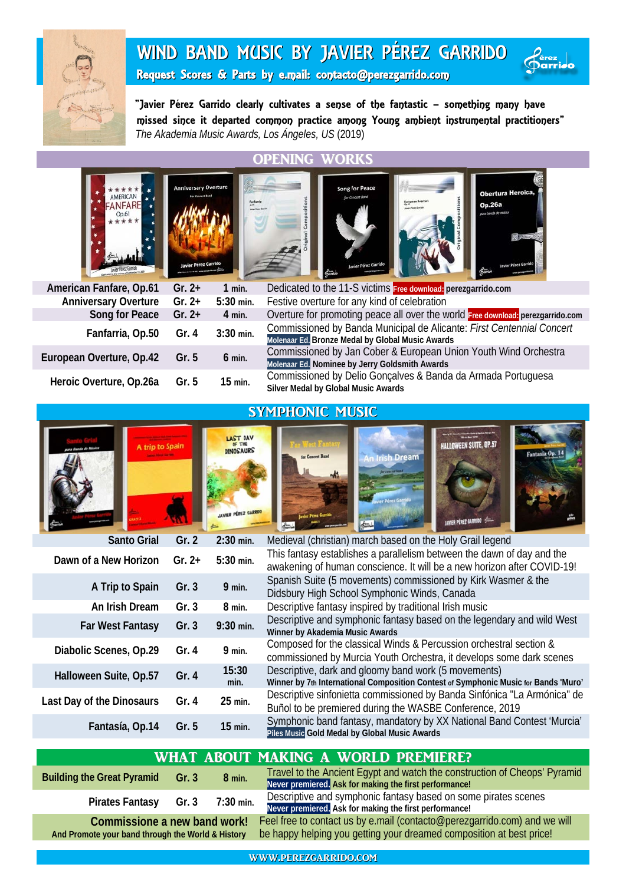

# WIND BAND MUSIC BY JAVIER PÉREZ GARRIDO



Request Scores & Parts by e.mail: contacto@perezgarrido.com

"Javier Pérez Garrido clearly cultivates a sense of the fantastic – something many have . missed since it departed common practice among Young ambient instrumental practitioners" *The Akademia Music Awards, Los Ángeles, US* (2019)

#### OPENING WORKS









| Faste position the victims of beginning |          |             | <b>Charries</b>                                                                                                           |  |  |  |  |
|-----------------------------------------|----------|-------------|---------------------------------------------------------------------------------------------------------------------------|--|--|--|--|
| American Fanfare, Op.61                 | $Gr. 2+$ | $1$ min.    | Dedicated to the 11-S victims Free download: perezgarrido.com                                                             |  |  |  |  |
| <b>Anniversary Overture</b>             | $Gr. 2+$ | 5:30 min.   | Festive overture for any kind of celebration                                                                              |  |  |  |  |
| Song for Peace                          | $Gr. 2+$ | $4$ min.    | Overture for promoting peace all over the world Free download: perezgarrido.com                                           |  |  |  |  |
| Fanfarria, Op.50                        | Gr. $4$  | $3:30$ min. | Commissioned by Banda Municipal de Alicante: First Centennial Concert<br>Molenaar Ed. Bronze Medal by Global Music Awards |  |  |  |  |
| European Overture, Op.42                | Gr. $5$  | $6$ min.    | Commissioned by Jan Cober & European Union Youth Wind Orchestra<br>Molenaar Ed. Nominee by Jerry Goldsmith Awards         |  |  |  |  |
| Heroic Overture, Op.26a                 | Gr. $5$  | 15 min.     | Commissioned by Delio Gonçalves & Banda da Armada Portuguesa<br>Silver Medal by Global Music Awards                       |  |  |  |  |

### SYMPHONIC MUSIC

| A trip to Spain           |          | <b>LAST DAY</b><br>OF THE<br><b>DINOSAURS</b><br><b>JAVIER PÉREZ GARRIDO</b> | HALLOWEEN SUITE, OP.57<br>Fantasía Op<br>for Concert Band<br><b>An Irish Dream</b><br>for concert hand<br><b>JAVIER PÉREZ GARRIDO</b>             |
|---------------------------|----------|------------------------------------------------------------------------------|---------------------------------------------------------------------------------------------------------------------------------------------------|
| <b>Santo Grial</b>        | Gr. 2    | $2:30$ min.                                                                  | Medieval (christian) march based on the Holy Grail legend                                                                                         |
| Dawn of a New Horizon     | Gr. $2+$ | 5:30 min.                                                                    | This fantasy establishes a parallelism between the dawn of day and the<br>awakening of human conscience. It will be a new horizon after COVID-19! |
| A Trip to Spain           | Gr.3     | $9$ min.                                                                     | Spanish Suite (5 movements) commissioned by Kirk Wasmer & the<br>Didsbury High School Symphonic Winds, Canada                                     |
| An Irish Dream            | Gr.3     | 8 min.                                                                       | Descriptive fantasy inspired by traditional Irish music                                                                                           |
| <b>Far West Fantasy</b>   | Gr.3     | 9:30 min.                                                                    | Descriptive and symphonic fantasy based on the legendary and wild West<br>Winner by Akademia Music Awards                                         |
| Diabolic Scenes, Op.29    | Gr. $4$  | $9$ min.                                                                     | Composed for the classical Winds & Percussion orchestral section &<br>commissioned by Murcia Youth Orchestra, it develops some dark scenes        |
| Halloween Suite, Op.57    | Gr. $4$  | 15:30<br>min.                                                                | Descriptive, dark and gloomy band work (5 movements)<br>Winner by 7th International Composition Contest of Symphonic Music for Bands 'Muro'       |
| Last Day of the Dinosaurs | Gr.4     | 25 min.                                                                      | Descriptive sinfonietta commissioned by Banda Sinfónica "La Armónica" de<br>Buñol to be premiered during the WASBE Conference, 2019               |
| Fantasía, Op.14           | Gr. 5    | 15 min.                                                                      | Symphonic band fantasy, mandatory by XX National Band Contest 'Murcia'<br>Piles Music Gold Medal by Global Music Awards                           |
|                           |          |                                                                              |                                                                                                                                                   |

#### WHAT ABOUT MAKING A WORLD PREMIERE?

| <b>Building the Great Pyramid</b>                 | Gr. $3$ | $8$ min.  | Travel to the Ancient Egypt and watch the construction of Cheops' Pyramid<br>Never premiered. Ask for making the first performance! |  |  |
|---------------------------------------------------|---------|-----------|-------------------------------------------------------------------------------------------------------------------------------------|--|--|
| <b>Pirates Fantasy</b>                            | Gr. 3   | 7:30 min. | Descriptive and symphonic fantasy based on some pirates scenes<br>Never premiered. Ask for making the first performance!            |  |  |
| Commissione a new band work!                      |         |           | Feel free to contact us by e.mail (contacto@perezgarrido.com) and we will                                                           |  |  |
| And Promote your band through the World & History |         |           | be happy helping you getting your dreamed composition at best price!                                                                |  |  |